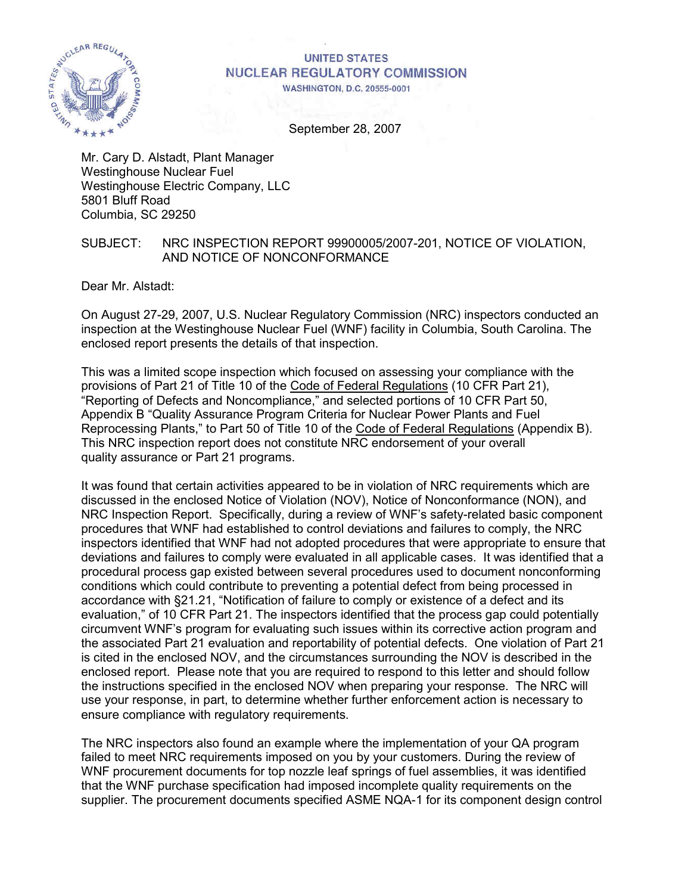

#### **UNITED STATES NUCLEAR REGULATORY COMMISSION WASHINGTON, D.C. 20555-0001**

September 28, 2007

Mr. Cary D. Alstadt, Plant Manager Westinghouse Nuclear Fuel Westinghouse Electric Company, LLC 5801 Bluff Road Columbia, SC 29250

### SUBJECT: NRC INSPECTION REPORT 99900005/2007-201, NOTICE OF VIOLATION, AND NOTICE OF NONCONFORMANCE

Dear Mr. Alstadt:

On August 27-29, 2007, U.S. Nuclear Regulatory Commission (NRC) inspectors conducted an inspection at the Westinghouse Nuclear Fuel (WNF) facility in Columbia, South Carolina. The enclosed report presents the details of that inspection.

This was a limited scope inspection which focused on assessing your compliance with the provisions of Part 21 of Title 10 of the Code of Federal Regulations (10 CFR Part 21), "Reporting of Defects and Noncompliance," and selected portions of 10 CFR Part 50, Appendix B "Quality Assurance Program Criteria for Nuclear Power Plants and Fuel Reprocessing Plants," to Part 50 of Title 10 of the Code of Federal Regulations (Appendix B). This NRC inspection report does not constitute NRC endorsement of your overall quality assurance or Part 21 programs.

It was found that certain activities appeared to be in violation of NRC requirements which are discussed in the enclosed Notice of Violation (NOV), Notice of Nonconformance (NON), and NRC Inspection Report. Specifically, during a review of WNF's safety-related basic component procedures that WNF had established to control deviations and failures to comply, the NRC inspectors identified that WNF had not adopted procedures that were appropriate to ensure that deviations and failures to comply were evaluated in all applicable cases. It was identified that a procedural process gap existed between several procedures used to document nonconforming conditions which could contribute to preventing a potential defect from being processed in accordance with §21.21, "Notification of failure to comply or existence of a defect and its evaluation," of 10 CFR Part 21. The inspectors identified that the process gap could potentially circumvent WNF's program for evaluating such issues within its corrective action program and the associated Part 21 evaluation and reportability of potential defects. One violation of Part 21 is cited in the enclosed NOV, and the circumstances surrounding the NOV is described in the enclosed report. Please note that you are required to respond to this letter and should follow the instructions specified in the enclosed NOV when preparing your response. The NRC will use your response, in part, to determine whether further enforcement action is necessary to ensure compliance with regulatory requirements.

The NRC inspectors also found an example where the implementation of your QA program failed to meet NRC requirements imposed on you by your customers. During the review of WNF procurement documents for top nozzle leaf springs of fuel assemblies, it was identified that the WNF purchase specification had imposed incomplete quality requirements on the supplier. The procurement documents specified ASME NQA-1 for its component design control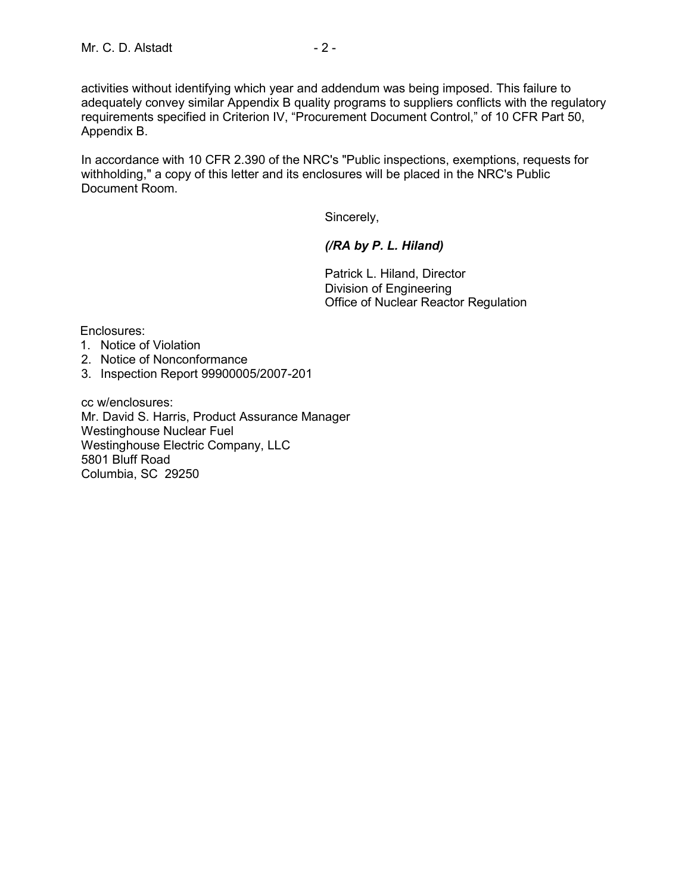activities without identifying which year and addendum was being imposed. This failure to adequately convey similar Appendix B quality programs to suppliers conflicts with the regulatory requirements specified in Criterion IV, "Procurement Document Control," of 10 CFR Part 50, Appendix B.

In accordance with 10 CFR 2.390 of the NRC's "Public inspections, exemptions, requests for withholding," a copy of this letter and its enclosures will be placed in the NRC's Public Document Room.

Sincerely,

### *(/RA by P. L. Hiland)*

Patrick L. Hiland, Director Division of Engineering Office of Nuclear Reactor Regulation

Enclosures:

- 1. Notice of Violation
- 2. Notice of Nonconformance
- 3. Inspection Report 99900005/2007-201

cc w/enclosures: Mr. David S. Harris, Product Assurance Manager Westinghouse Nuclear Fuel Westinghouse Electric Company, LLC 5801 Bluff Road Columbia, SC 29250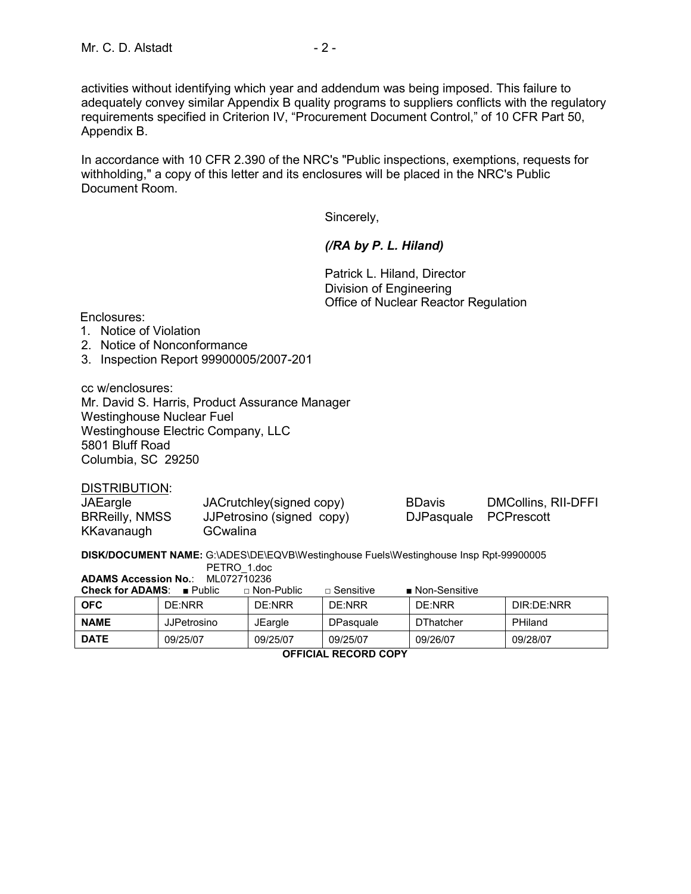activities without identifying which year and addendum was being imposed. This failure to adequately convey similar Appendix B quality programs to suppliers conflicts with the regulatory requirements specified in Criterion IV, "Procurement Document Control," of 10 CFR Part 50, Appendix B.

In accordance with 10 CFR 2.390 of the NRC's "Public inspections, exemptions, requests for withholding," a copy of this letter and its enclosures will be placed in the NRC's Public Document Room.

Sincerely,

#### *(/RA by P. L. Hiland)*

Patrick L. Hiland, Director Division of Engineering Office of Nuclear Reactor Regulation

Enclosures:

- 1. Notice of Violation
- 2. Notice of Nonconformance
- 3. Inspection Report 99900005/2007-201

cc w/enclosures: Mr. David S. Harris, Product Assurance Manager Westinghouse Nuclear Fuel Westinghouse Electric Company, LLC 5801 Bluff Road Columbia, SC 29250

DISTRIBUTION:

| JAEargle              | JACrutchley(signed copy) |
|-----------------------|--------------------------|
| <b>BRReilly, NMSS</b> | JJPetrosino (signed copy |
| KKavanaugh            | GCwalina                 |

BDavis DMCollins, RII-DFFI (b) DJPasquale PCPrescott

**DISK/DOCUMENT NAME:** G:\ADES\DE\EQVB\Westinghouse Fuels\Westinghouse Insp Rpt-99900005

|                                               | PETRO 1.doc        |                     |                  |                              |            |  |  |  |
|-----------------------------------------------|--------------------|---------------------|------------------|------------------------------|------------|--|--|--|
| <b>ADAMS Accession No.:</b><br>ML072710236    |                    |                     |                  |                              |            |  |  |  |
| <b>Check for ADAMS:</b> $\blacksquare$ Public |                    | $\sqcap$ Non-Public | $\Box$ Sensitive | $\blacksquare$ Non-Sensitive |            |  |  |  |
| <b>OFC</b>                                    | DE:NRR             | DE:NRR              | DE:NRR           | DE:NRR                       | DIR:DE:NRR |  |  |  |
| <b>NAME</b>                                   | <b>JJPetrosino</b> | <b>JEargle</b>      | DPasquale        | <b>DThatcher</b>             | PHiland    |  |  |  |
| <b>DATE</b>                                   | 09/25/07           | 09/25/07            | 09/25/07         | 09/26/07                     | 09/28/07   |  |  |  |

**OFFICIAL RECORD COPY**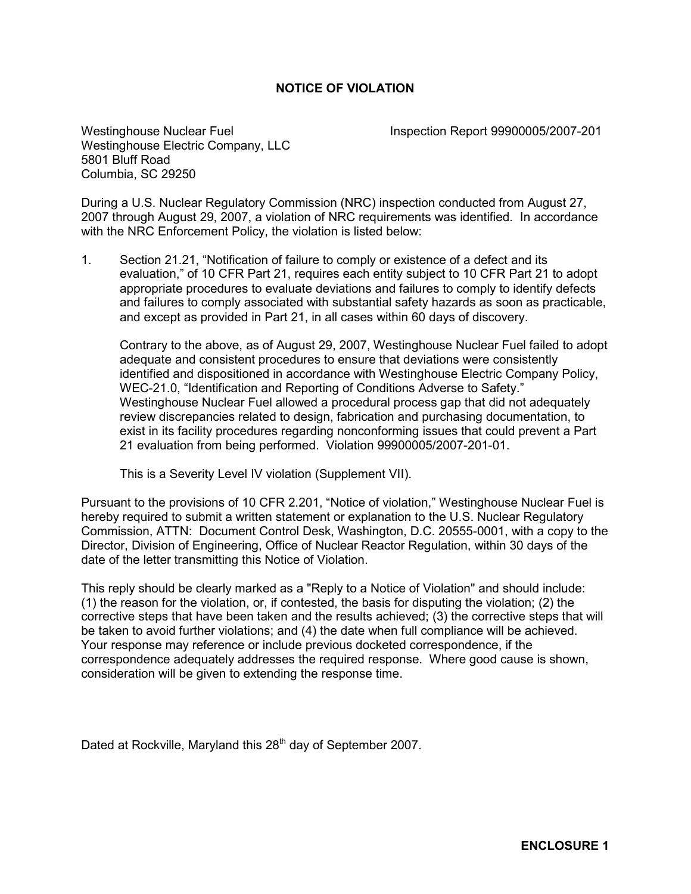### **NOTICE OF VIOLATION**

Westinghouse Nuclear Fuel **Inspection Report 99900005/2007-201** Westinghouse Electric Company, LLC 5801 Bluff Road Columbia, SC 29250

During a U.S. Nuclear Regulatory Commission (NRC) inspection conducted from August 27, 2007 through August 29, 2007, a violation of NRC requirements was identified. In accordance with the NRC Enforcement Policy, the violation is listed below:

1. Section 21.21, "Notification of failure to comply or existence of a defect and its evaluation," of 10 CFR Part 21, requires each entity subject to 10 CFR Part 21 to adopt appropriate procedures to evaluate deviations and failures to comply to identify defects and failures to comply associated with substantial safety hazards as soon as practicable, and except as provided in Part 21, in all cases within 60 days of discovery.

 Contrary to the above, as of August 29, 2007, Westinghouse Nuclear Fuel failed to adopt adequate and consistent procedures to ensure that deviations were consistently identified and dispositioned in accordance with Westinghouse Electric Company Policy, WEC-21.0, "Identification and Reporting of Conditions Adverse to Safety." Westinghouse Nuclear Fuel allowed a procedural process gap that did not adequately review discrepancies related to design, fabrication and purchasing documentation, to exist in its facility procedures regarding nonconforming issues that could prevent a Part 21 evaluation from being performed. Violation 99900005/2007-201-01.

This is a Severity Level IV violation (Supplement VII).

Pursuant to the provisions of 10 CFR 2.201, "Notice of violation," Westinghouse Nuclear Fuel is hereby required to submit a written statement or explanation to the U.S. Nuclear Regulatory Commission, ATTN: Document Control Desk, Washington, D.C. 20555-0001, with a copy to the Director, Division of Engineering, Office of Nuclear Reactor Regulation, within 30 days of the date of the letter transmitting this Notice of Violation.

This reply should be clearly marked as a "Reply to a Notice of Violation" and should include: (1) the reason for the violation, or, if contested, the basis for disputing the violation; (2) the corrective steps that have been taken and the results achieved; (3) the corrective steps that will be taken to avoid further violations; and (4) the date when full compliance will be achieved. Your response may reference or include previous docketed correspondence, if the correspondence adequately addresses the required response. Where good cause is shown, consideration will be given to extending the response time.

Dated at Rockville, Maryland this 28<sup>th</sup> day of September 2007.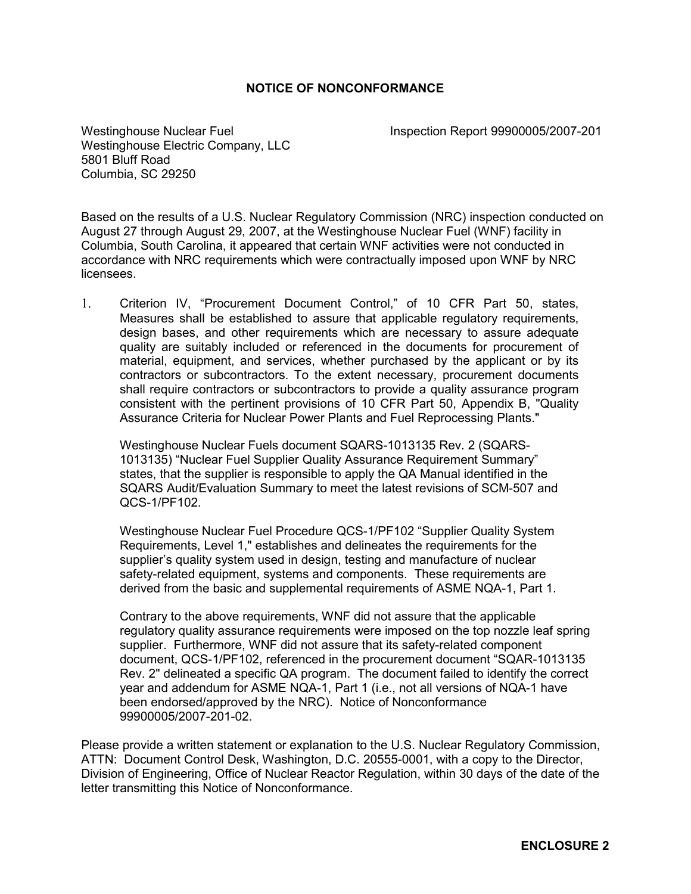#### **NOTICE OF NONCONFORMANCE**

Westinghouse Nuclear Fuel **Inspection Report 99900005/2007-201** Westinghouse Electric Company, LLC 5801 Bluff Road Columbia, SC 29250

Based on the results of a U.S. Nuclear Regulatory Commission (NRC) inspection conducted on August 27 through August 29, 2007, at the Westinghouse Nuclear Fuel (WNF) facility in Columbia, South Carolina, it appeared that certain WNF activities were not conducted in accordance with NRC requirements which were contractually imposed upon WNF by NRC licensees.

1. Criterion IV, "Procurement Document Control," of 10 CFR Part 50, states, Measures shall be established to assure that applicable regulatory requirements, design bases, and other requirements which are necessary to assure adequate quality are suitably included or referenced in the documents for procurement of material, equipment, and services, whether purchased by the applicant or by its contractors or subcontractors. To the extent necessary, procurement documents shall require contractors or subcontractors to provide a quality assurance program consistent with the pertinent provisions of 10 CFR Part 50, Appendix B, "Quality Assurance Criteria for Nuclear Power Plants and Fuel Reprocessing Plants."

Westinghouse Nuclear Fuels document SQARS-1013135 Rev. 2 (SQARS-1013135) "Nuclear Fuel Supplier Quality Assurance Requirement Summary" states, that the supplier is responsible to apply the QA Manual identified in the SQARS Audit/Evaluation Summary to meet the latest revisions of SCM-507 and QCS-1/PF102.

Westinghouse Nuclear Fuel Procedure QCS-1/PF102 "Supplier Quality System Requirements, Level 1," establishes and delineates the requirements for the supplier's quality system used in design, testing and manufacture of nuclear safety-related equipment, systems and components. These requirements are derived from the basic and supplemental requirements of ASME NQA-1, Part 1.

Contrary to the above requirements, WNF did not assure that the applicable regulatory quality assurance requirements were imposed on the top nozzle leaf spring supplier. Furthermore, WNF did not assure that its safety-related component document, QCS-1/PF102, referenced in the procurement document "SQAR-1013135 Rev. 2" delineated a specific QA program. The document failed to identify the correct year and addendum for ASME NQA-1, Part 1 (i.e., not all versions of NQA-1 have been endorsed/approved by the NRC). Notice of Nonconformance 99900005/2007-201-02.

Please provide a written statement or explanation to the U.S. Nuclear Regulatory Commission, ATTN: Document Control Desk, Washington, D.C. 20555-0001, with a copy to the Director, Division of Engineering, Office of Nuclear Reactor Regulation, within 30 days of the date of the letter transmitting this Notice of Nonconformance.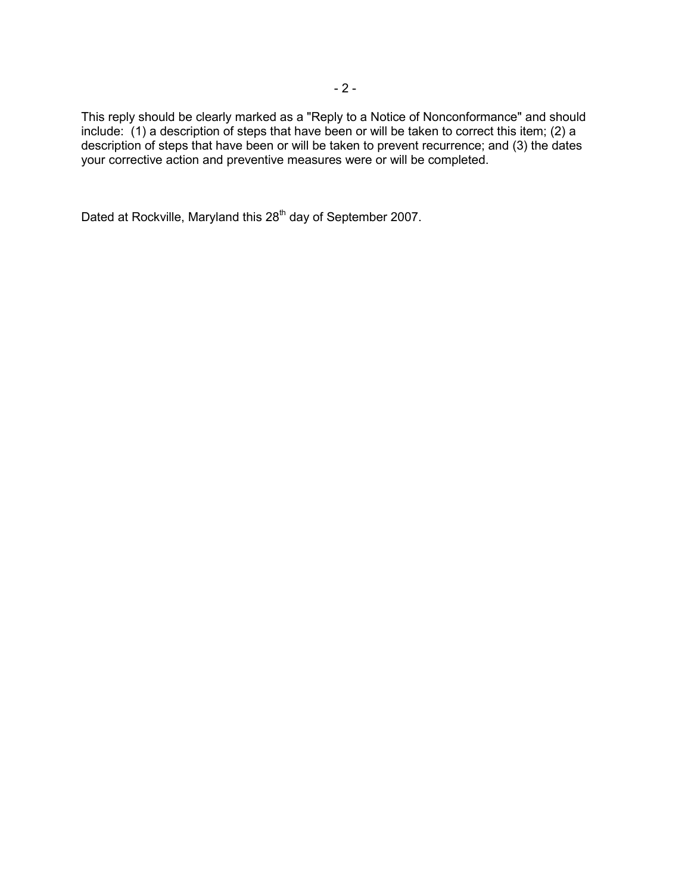This reply should be clearly marked as a "Reply to a Notice of Nonconformance" and should include: (1) a description of steps that have been or will be taken to correct this item; (2) a description of steps that have been or will be taken to prevent recurrence; and (3) the dates your corrective action and preventive measures were or will be completed.

Dated at Rockville, Maryland this 28<sup>th</sup> day of September 2007.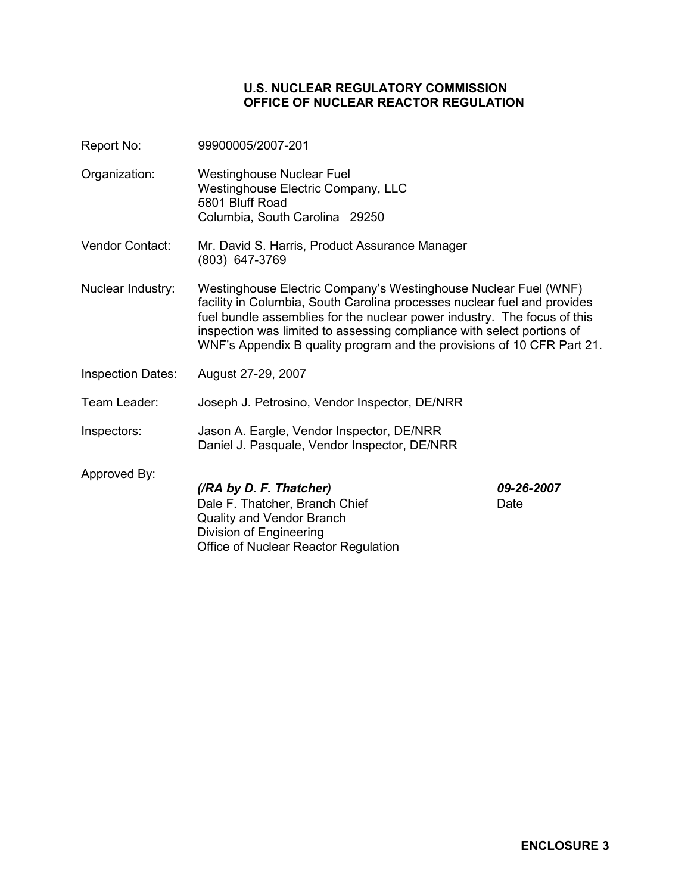#### **U.S. NUCLEAR REGULATORY COMMISSION OFFICE OF NUCLEAR REACTOR REGULATION**

- Report No: 99900005/2007-201
- Organization: Westinghouse Nuclear Fuel Westinghouse Electric Company, LLC 5801 Bluff Road Columbia, South Carolina 29250
- Vendor Contact: Mr. David S. Harris, Product Assurance Manager (803) 647-3769
- Nuclear Industry: Westinghouse Electric Company's Westinghouse Nuclear Fuel (WNF) facility in Columbia, South Carolina processes nuclear fuel and provides fuel bundle assemblies for the nuclear power industry. The focus of this inspection was limited to assessing compliance with select portions of WNF's Appendix B quality program and the provisions of 10 CFR Part 21.
- Inspection Dates: August 27-29, 2007
- Team Leader: Joseph J. Petrosino, Vendor Inspector, DE/NRR
- Inspectors: Jason A. Eargle, Vendor Inspector, DE/NRR Daniel J. Pasquale, Vendor Inspector, DE/NRR
- Approved By:

*(/RA by D. F. Thatcher) 09-26-2007* 

Dale F. Thatcher, Branch Chief Quality and Vendor Branch Division of Engineering Office of Nuclear Reactor Regulation

Date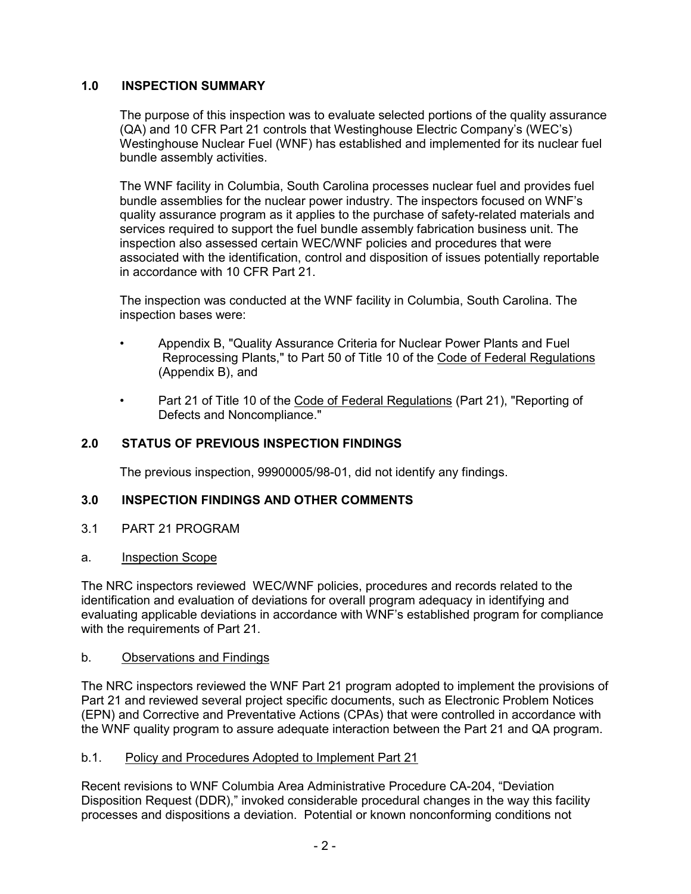# **1.0 INSPECTION SUMMARY**

 The purpose of this inspection was to evaluate selected portions of the quality assurance (QA) and 10 CFR Part 21 controls that Westinghouse Electric Company's (WEC's) Westinghouse Nuclear Fuel (WNF) has established and implemented for its nuclear fuel bundle assembly activities.

 The WNF facility in Columbia, South Carolina processes nuclear fuel and provides fuel bundle assemblies for the nuclear power industry. The inspectors focused on WNF's quality assurance program as it applies to the purchase of safety-related materials and services required to support the fuel bundle assembly fabrication business unit. The inspection also assessed certain WEC/WNF policies and procedures that were associated with the identification, control and disposition of issues potentially reportable in accordance with 10 CFR Part 21.

 The inspection was conducted at the WNF facility in Columbia, South Carolina. The inspection bases were:

- Appendix B, "Quality Assurance Criteria for Nuclear Power Plants and Fuel Reprocessing Plants," to Part 50 of Title 10 of the Code of Federal Regulations (Appendix B), and
- Part 21 of Title 10 of the Code of Federal Regulations (Part 21), "Reporting of Defects and Noncompliance."

# **2.0 STATUS OF PREVIOUS INSPECTION FINDINGS**

The previous inspection, 99900005/98-01, did not identify any findings.

### **3.0 INSPECTION FINDINGS AND OTHER COMMENTS**

3.1 PART 21 PROGRAM

### a. Inspection Scope

The NRC inspectors reviewed WEC/WNF policies, procedures and records related to the identification and evaluation of deviations for overall program adequacy in identifying and evaluating applicable deviations in accordance with WNF's established program for compliance with the requirements of Part 21.

### b. Observations and Findings

The NRC inspectors reviewed the WNF Part 21 program adopted to implement the provisions of Part 21 and reviewed several project specific documents, such as Electronic Problem Notices (EPN) and Corrective and Preventative Actions (CPAs) that were controlled in accordance with the WNF quality program to assure adequate interaction between the Part 21 and QA program.

### b.1. Policy and Procedures Adopted to Implement Part 21

Recent revisions to WNF Columbia Area Administrative Procedure CA-204, "Deviation Disposition Request (DDR)," invoked considerable procedural changes in the way this facility processes and dispositions a deviation. Potential or known nonconforming conditions not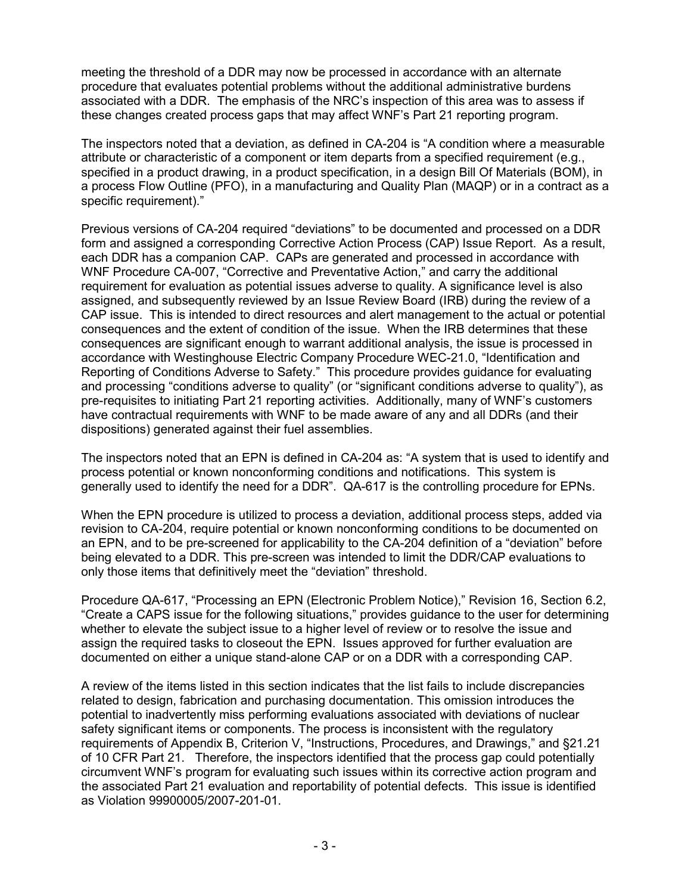meeting the threshold of a DDR may now be processed in accordance with an alternate procedure that evaluates potential problems without the additional administrative burdens associated with a DDR. The emphasis of the NRC's inspection of this area was to assess if these changes created process gaps that may affect WNF's Part 21 reporting program.

The inspectors noted that a deviation, as defined in CA-204 is "A condition where a measurable attribute or characteristic of a component or item departs from a specified requirement (e.g., specified in a product drawing, in a product specification, in a design Bill Of Materials (BOM), in a process Flow Outline (PFO), in a manufacturing and Quality Plan (MAQP) or in a contract as a specific requirement)."

Previous versions of CA-204 required "deviations" to be documented and processed on a DDR form and assigned a corresponding Corrective Action Process (CAP) Issue Report. As a result, each DDR has a companion CAP. CAPs are generated and processed in accordance with WNF Procedure CA-007, "Corrective and Preventative Action," and carry the additional requirement for evaluation as potential issues adverse to quality. A significance level is also assigned, and subsequently reviewed by an Issue Review Board (IRB) during the review of a CAP issue. This is intended to direct resources and alert management to the actual or potential consequences and the extent of condition of the issue. When the IRB determines that these consequences are significant enough to warrant additional analysis, the issue is processed in accordance with Westinghouse Electric Company Procedure WEC-21.0, "Identification and Reporting of Conditions Adverse to Safety." This procedure provides guidance for evaluating and processing "conditions adverse to quality" (or "significant conditions adverse to quality"), as pre-requisites to initiating Part 21 reporting activities. Additionally, many of WNF's customers have contractual requirements with WNF to be made aware of any and all DDRs (and their dispositions) generated against their fuel assemblies.

The inspectors noted that an EPN is defined in CA-204 as: "A system that is used to identify and process potential or known nonconforming conditions and notifications. This system is generally used to identify the need for a DDR". QA-617 is the controlling procedure for EPNs.

When the EPN procedure is utilized to process a deviation, additional process steps, added via revision to CA-204, require potential or known nonconforming conditions to be documented on an EPN, and to be pre-screened for applicability to the CA-204 definition of a "deviation" before being elevated to a DDR. This pre-screen was intended to limit the DDR/CAP evaluations to only those items that definitively meet the "deviation" threshold.

Procedure QA-617, "Processing an EPN (Electronic Problem Notice)," Revision 16, Section 6.2, "Create a CAPS issue for the following situations," provides guidance to the user for determining whether to elevate the subject issue to a higher level of review or to resolve the issue and assign the required tasks to closeout the EPN. Issues approved for further evaluation are documented on either a unique stand-alone CAP or on a DDR with a corresponding CAP.

A review of the items listed in this section indicates that the list fails to include discrepancies related to design, fabrication and purchasing documentation. This omission introduces the potential to inadvertently miss performing evaluations associated with deviations of nuclear safety significant items or components. The process is inconsistent with the regulatory requirements of Appendix B, Criterion V, "Instructions, Procedures, and Drawings," and §21.21 of 10 CFR Part 21. Therefore, the inspectors identified that the process gap could potentially circumvent WNF's program for evaluating such issues within its corrective action program and the associated Part 21 evaluation and reportability of potential defects. This issue is identified as Violation 99900005/2007-201-01.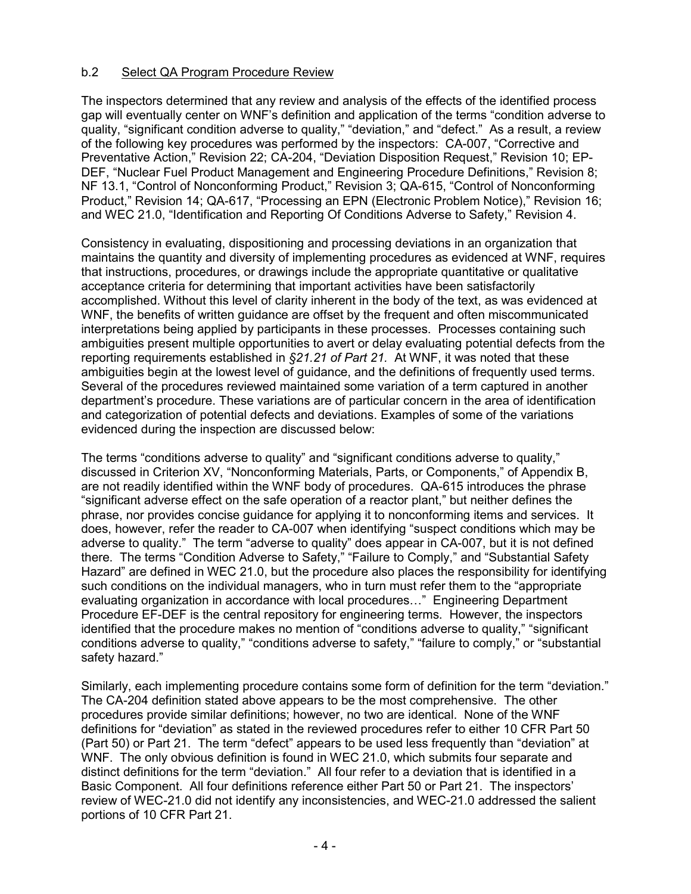## b.2 Select QA Program Procedure Review

The inspectors determined that any review and analysis of the effects of the identified process gap will eventually center on WNF's definition and application of the terms "condition adverse to quality, "significant condition adverse to quality," "deviation," and "defect." As a result, a review of the following key procedures was performed by the inspectors: CA-007, "Corrective and Preventative Action," Revision 22; CA-204, "Deviation Disposition Request," Revision 10; EP-DEF, "Nuclear Fuel Product Management and Engineering Procedure Definitions," Revision 8; NF 13.1, "Control of Nonconforming Product," Revision 3; QA-615, "Control of Nonconforming Product," Revision 14; QA-617, "Processing an EPN (Electronic Problem Notice)," Revision 16; and WEC 21.0, "Identification and Reporting Of Conditions Adverse to Safety," Revision 4.

Consistency in evaluating, dispositioning and processing deviations in an organization that maintains the quantity and diversity of implementing procedures as evidenced at WNF, requires that instructions, procedures, or drawings include the appropriate quantitative or qualitative acceptance criteria for determining that important activities have been satisfactorily accomplished. Without this level of clarity inherent in the body of the text, as was evidenced at WNF, the benefits of written guidance are offset by the frequent and often miscommunicated interpretations being applied by participants in these processes. Processes containing such ambiguities present multiple opportunities to avert or delay evaluating potential defects from the reporting requirements established in *§21.21 of Part 21.* At WNF, it was noted that these ambiguities begin at the lowest level of guidance, and the definitions of frequently used terms. Several of the procedures reviewed maintained some variation of a term captured in another department's procedure. These variations are of particular concern in the area of identification and categorization of potential defects and deviations. Examples of some of the variations evidenced during the inspection are discussed below:

The terms "conditions adverse to quality" and "significant conditions adverse to quality," discussed in Criterion XV, "Nonconforming Materials, Parts, or Components," of Appendix B, are not readily identified within the WNF body of procedures. QA-615 introduces the phrase "significant adverse effect on the safe operation of a reactor plant," but neither defines the phrase, nor provides concise guidance for applying it to nonconforming items and services. It does, however, refer the reader to CA-007 when identifying "suspect conditions which may be adverse to quality." The term "adverse to quality" does appear in CA-007, but it is not defined there. The terms "Condition Adverse to Safety," "Failure to Comply," and "Substantial Safety Hazard" are defined in WEC 21.0, but the procedure also places the responsibility for identifying such conditions on the individual managers, who in turn must refer them to the "appropriate evaluating organization in accordance with local procedures…" Engineering Department Procedure EF-DEF is the central repository for engineering terms. However, the inspectors identified that the procedure makes no mention of "conditions adverse to quality," "significant conditions adverse to quality," "conditions adverse to safety," "failure to comply," or "substantial safety hazard."

Similarly, each implementing procedure contains some form of definition for the term "deviation." The CA-204 definition stated above appears to be the most comprehensive. The other procedures provide similar definitions; however, no two are identical. None of the WNF definitions for "deviation" as stated in the reviewed procedures refer to either 10 CFR Part 50 (Part 50) or Part 21. The term "defect" appears to be used less frequently than "deviation" at WNF. The only obvious definition is found in WEC 21.0, which submits four separate and distinct definitions for the term "deviation." All four refer to a deviation that is identified in a Basic Component. All four definitions reference either Part 50 or Part 21. The inspectors' review of WEC-21.0 did not identify any inconsistencies, and WEC-21.0 addressed the salient portions of 10 CFR Part 21.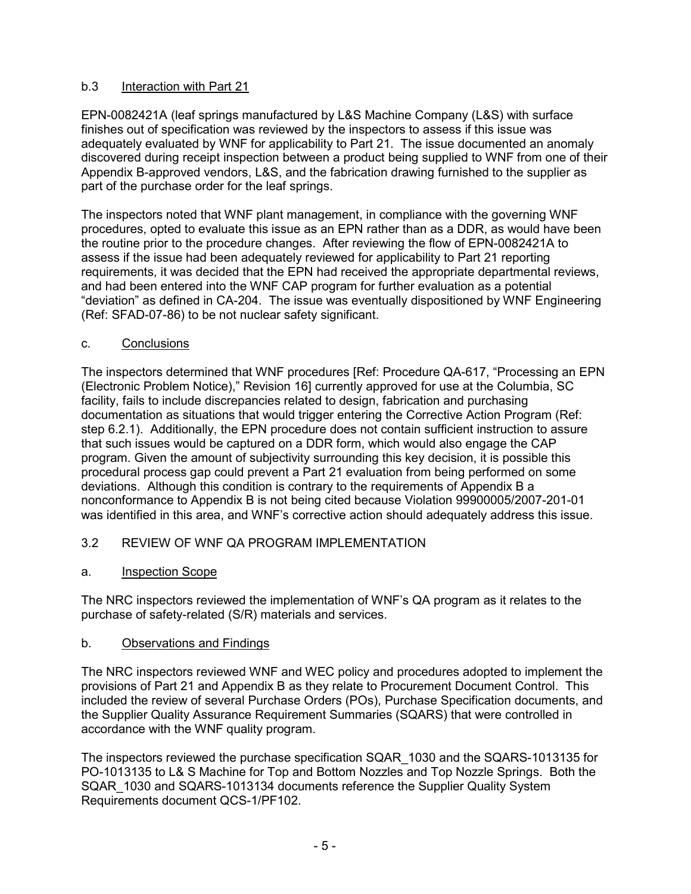# b.3 Interaction with Part 21

EPN-0082421A (leaf springs manufactured by L&S Machine Company (L&S) with surface finishes out of specification was reviewed by the inspectors to assess if this issue was adequately evaluated by WNF for applicability to Part 21. The issue documented an anomaly discovered during receipt inspection between a product being supplied to WNF from one of their Appendix B-approved vendors, L&S, and the fabrication drawing furnished to the supplier as part of the purchase order for the leaf springs.

The inspectors noted that WNF plant management, in compliance with the governing WNF procedures, opted to evaluate this issue as an EPN rather than as a DDR, as would have been the routine prior to the procedure changes. After reviewing the flow of EPN-0082421A to assess if the issue had been adequately reviewed for applicability to Part 21 reporting requirements, it was decided that the EPN had received the appropriate departmental reviews, and had been entered into the WNF CAP program for further evaluation as a potential "deviation" as defined in CA-204. The issue was eventually dispositioned by WNF Engineering (Ref: SFAD-07-86) to be not nuclear safety significant.

## c. Conclusions

The inspectors determined that WNF procedures [Ref: Procedure QA-617, "Processing an EPN (Electronic Problem Notice)," Revision 16] currently approved for use at the Columbia, SC facility, fails to include discrepancies related to design, fabrication and purchasing documentation as situations that would trigger entering the Corrective Action Program (Ref: step 6.2.1). Additionally, the EPN procedure does not contain sufficient instruction to assure that such issues would be captured on a DDR form, which would also engage the CAP program. Given the amount of subjectivity surrounding this key decision, it is possible this procedural process gap could prevent a Part 21 evaluation from being performed on some deviations. Although this condition is contrary to the requirements of Appendix B a nonconformance to Appendix B is not being cited because Violation 99900005/2007-201-01 was identified in this area, and WNF's corrective action should adequately address this issue.

# 3.2 REVIEW OF WNF QA PROGRAM IMPLEMENTATION

### a. Inspection Scope

The NRC inspectors reviewed the implementation of WNF's QA program as it relates to the purchase of safety-related (S/R) materials and services.

### b. Observations and Findings

The NRC inspectors reviewed WNF and WEC policy and procedures adopted to implement the provisions of Part 21 and Appendix B as they relate to Procurement Document Control. This included the review of several Purchase Orders (POs), Purchase Specification documents, and the Supplier Quality Assurance Requirement Summaries (SQARS) that were controlled in accordance with the WNF quality program.

The inspectors reviewed the purchase specification SQAR\_1030 and the SQARS-1013135 for PO-1013135 to L& S Machine for Top and Bottom Nozzles and Top Nozzle Springs. Both the SQAR\_1030 and SQARS-1013134 documents reference the Supplier Quality System Requirements document QCS-1/PF102.